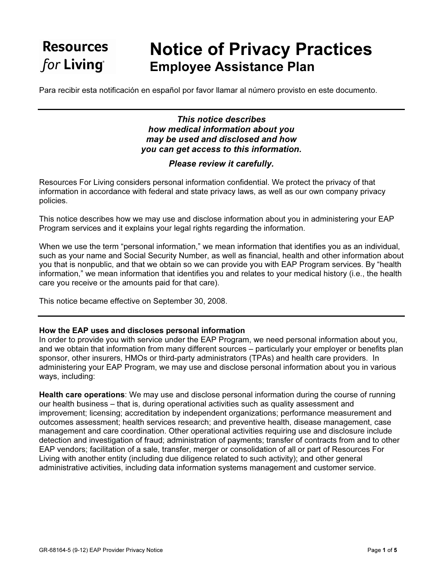# **Resources** for Living®

# Notice of Privacy Practices Employee Assistance Plan

Para recibir esta notificación en español por favor llamar al número provisto en este documento.

## This notice describes how medical information about you may be used and disclosed and how you can get access to this information.

## Please review it carefully.

Resources For Living considers personal information confidential. We protect the privacy of that information in accordance with federal and state privacy laws, as well as our own company privacy policies.

This notice describes how we may use and disclose information about you in administering your EAP Program services and it explains your legal rights regarding the information.

When we use the term "personal information," we mean information that identifies you as an individual, such as your name and Social Security Number, as well as financial, health and other information about you that is nonpublic, and that we obtain so we can provide you with EAP Program services. By "health information," we mean information that identifies you and relates to your medical history (i.e., the health care you receive or the amounts paid for that care).

This notice became effective on September 30, 2008.

### How the EAP uses and discloses personal information

In order to provide you with service under the EAP Program, we need personal information about you, and we obtain that information from many different sources – particularly your employer or benefits plan sponsor, other insurers, HMOs or third-party administrators (TPAs) and health care providers. In administering your EAP Program, we may use and disclose personal information about you in various ways, including:

Health care operations: We may use and disclose personal information during the course of running our health business – that is, during operational activities such as quality assessment and improvement; licensing; accreditation by independent organizations; performance measurement and outcomes assessment; health services research; and preventive health, disease management, case management and care coordination. Other operational activities requiring use and disclosure include detection and investigation of fraud; administration of payments; transfer of contracts from and to other EAP vendors; facilitation of a sale, transfer, merger or consolidation of all or part of Resources For Living with another entity (including due diligence related to such activity); and other general administrative activities, including data information systems management and customer service.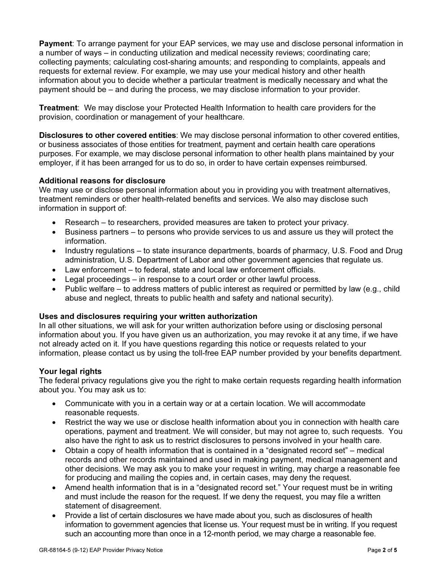Payment: To arrange payment for your EAP services, we may use and disclose personal information in a number of ways – in conducting utilization and medical necessity reviews; coordinating care; collecting payments; calculating cost-sharing amounts; and responding to complaints, appeals and requests for external review. For example, we may use your medical history and other health information about you to decide whether a particular treatment is medically necessary and what the payment should be – and during the process, we may disclose information to your provider.

Treatment: We may disclose your Protected Health Information to health care providers for the provision, coordination or management of your healthcare.

Disclosures to other covered entities: We may disclose personal information to other covered entities, or business associates of those entities for treatment, payment and certain health care operations purposes. For example, we may disclose personal information to other health plans maintained by your employer, if it has been arranged for us to do so, in order to have certain expenses reimbursed.

### Additional reasons for disclosure

We may use or disclose personal information about you in providing you with treatment alternatives, treatment reminders or other health-related benefits and services. We also may disclose such information in support of:

- Research to researchers, provided measures are taken to protect your privacy.
- Business partners to persons who provide services to us and assure us they will protect the information.
- Industry regulations to state insurance departments, boards of pharmacy, U.S. Food and Drug administration, U.S. Department of Labor and other government agencies that regulate us.
- Law enforcement to federal, state and local law enforcement officials.
- Legal proceedings in response to a court order or other lawful process.
- Public welfare to address matters of public interest as required or permitted by law (e.g., child abuse and neglect, threats to public health and safety and national security).

#### Uses and disclosures requiring your written authorization

In all other situations, we will ask for your written authorization before using or disclosing personal information about you. If you have given us an authorization, you may revoke it at any time, if we have not already acted on it. If you have questions regarding this notice or requests related to your information, please contact us by using the toll-free EAP number provided by your benefits department.

#### Your legal rights

The federal privacy regulations give you the right to make certain requests regarding health information about you. You may ask us to:

- Communicate with you in a certain way or at a certain location. We will accommodate reasonable requests.
- Restrict the way we use or disclose health information about you in connection with health care operations, payment and treatment. We will consider, but may not agree to, such requests. You also have the right to ask us to restrict disclosures to persons involved in your health care.
- Obtain a copy of health information that is contained in a "designated record set" medical records and other records maintained and used in making payment, medical management and other decisions. We may ask you to make your request in writing, may charge a reasonable fee for producing and mailing the copies and, in certain cases, may deny the request.
- Amend health information that is in a "designated record set." Your request must be in writing and must include the reason for the request. If we deny the request, you may file a written statement of disagreement.
- Provide a list of certain disclosures we have made about you, such as disclosures of health information to government agencies that license us. Your request must be in writing. If you request such an accounting more than once in a 12-month period, we may charge a reasonable fee.